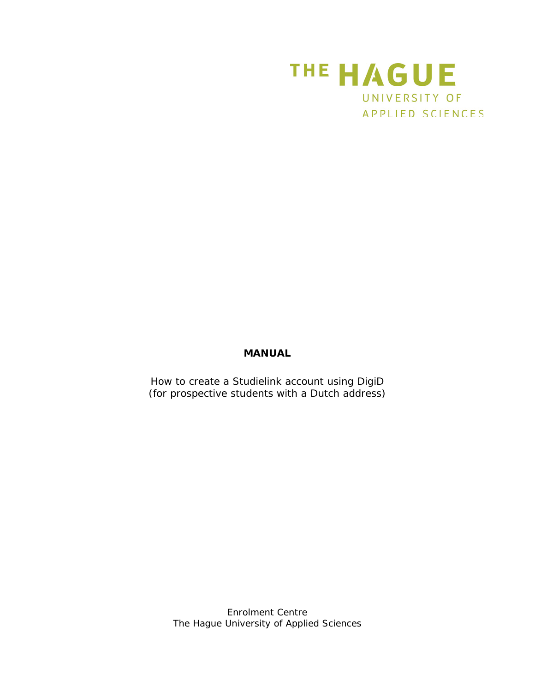

## **MANUAL**

How to create a Studielink account using DigiD (for prospective students with a Dutch address)

> *Enrolment Centre The Hague University of Applied Sciences*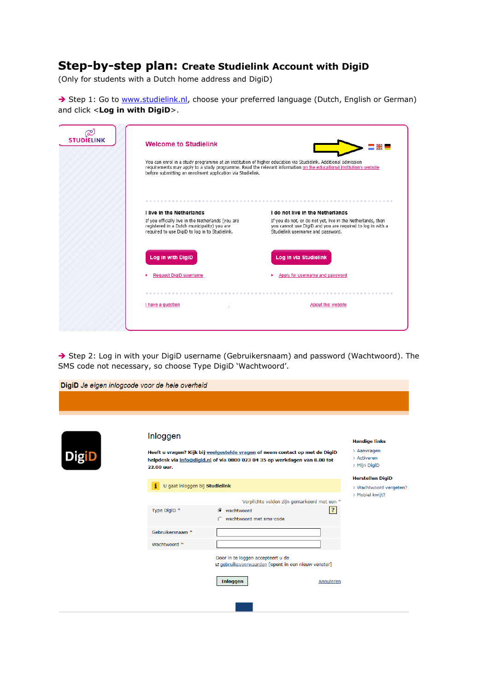## **Step-by-step plan: Create Studielink Account with DigiD**

(Only for students with a Dutch home address and DigiD)

Step 1: Go to [www.studielink.nl,](http://www.studielink.nl/) choose your preferred language (Dutch, English or German) and click <**Log in with DigiD**>.

| ඏ<br><b>STUDIELINK</b> | <b>Welcome to Studielink</b><br>You can enrol in a study programme at an institution of higher education via Studielink. Additional admission<br>before submitting an enrolment application via Studielink. | ek l<br>requirements may apply to a study programme. Read the relevant information on the educational institution's website                                                                        |
|------------------------|-------------------------------------------------------------------------------------------------------------------------------------------------------------------------------------------------------------|----------------------------------------------------------------------------------------------------------------------------------------------------------------------------------------------------|
|                        | I live in the Netherlands<br>If you officially live in the Netherlands (you are<br>registered in a Dutch municipality) you are<br>required to use DigiD to log in to Studielink.                            | I do not live in the Netherlands<br>If you do not, or do not yet, live in the Netherlands, then<br>you cannot use DigiD and you are required to log in with a<br>Studielink username and password. |
|                        | Log in with DigiD<br><b>Request DigiD username</b>                                                                                                                                                          | Log in via Studielink<br>Apply for username and password                                                                                                                                           |
|                        | I have a question                                                                                                                                                                                           | About this website                                                                                                                                                                                 |

Step 2: Log in with your DigiD username (Gebruikersnaam) and password (Wachtwoord). The SMS code not necessary, so choose Type DigiD 'Wachtwoord'.

|              | DigiD Je eigen inlogcode voor de hele overheid |                                                                                                                                                            |                                                   |
|--------------|------------------------------------------------|------------------------------------------------------------------------------------------------------------------------------------------------------------|---------------------------------------------------|
|              |                                                |                                                                                                                                                            |                                                   |
|              |                                                |                                                                                                                                                            |                                                   |
|              | Inloggen                                       |                                                                                                                                                            | <b>Handige links</b>                              |
| <b>DigiD</b> | 22.00 uur.                                     | Heeft u vragen? Kijk bij veelgestelde vragen of neem contact op met de DigiD<br>helpdesk via info@digid.nl of via 0800 023 04 35 op werkdagen van 8.00 tot | > Aanvragen<br>> Activeren<br>> Mijn DigiD        |
|              | U gaat inloggen bij Studielink<br>i.           |                                                                                                                                                            | <b>Herstellen DigiD</b><br>> Wachtwoord vergeten? |
|              |                                                |                                                                                                                                                            | > Mobiel kwijt?                                   |
|              | Type DigiD <sup>*</sup>                        | Verplichte velden zijn gemarkeerd met een *<br>$\mathbf{r}$<br>C wachtwoord<br>wachtwoord met sms-code                                                     |                                                   |
|              | Gebruikersnaam <sup>*</sup>                    |                                                                                                                                                            |                                                   |
|              | Wachtwoord *                                   |                                                                                                                                                            |                                                   |
|              |                                                | Door in te loggen accepteert u de<br>Le gebruiksvoorwaarden [opent in een nieuw venster]                                                                   |                                                   |
|              |                                                | <b>Inloggen</b><br>Annuleren                                                                                                                               |                                                   |
|              |                                                |                                                                                                                                                            |                                                   |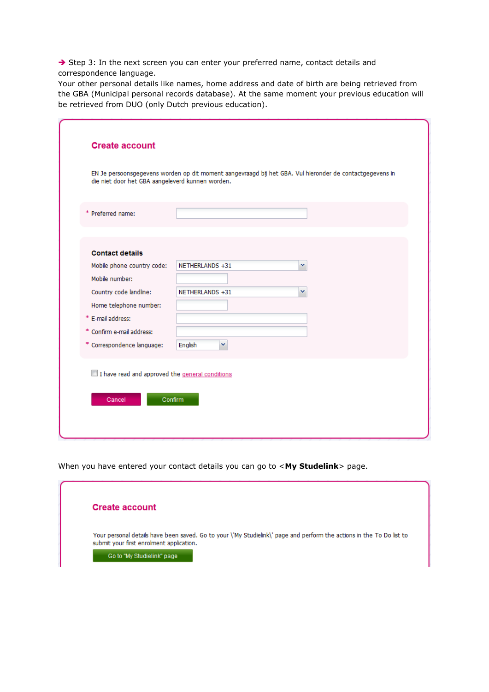$\rightarrow$  Step 3: In the next screen you can enter your preferred name, contact details and correspondence language.

Your other personal details like names, home address and date of birth are being retrieved from the GBA (Municipal personal records database). At the same moment your previous education will be retrieved from DUO (only Dutch previous education).

| die niet door het GBA aangeleverd kunnen worden. | EN Je persoonsgegevens worden op dit moment aangevraagd bij het GBA. Vul hieronder de contactgegevens in |
|--------------------------------------------------|----------------------------------------------------------------------------------------------------------|
| * Preferred name:                                |                                                                                                          |
|                                                  |                                                                                                          |
| <b>Contact details</b>                           | NETHERLANDS +31<br>v                                                                                     |
| Mobile phone country code:<br>Mobile number:     |                                                                                                          |
|                                                  | v                                                                                                        |
| Country code landline:                           | NETHERLANDS +31                                                                                          |
| Home telephone number:                           |                                                                                                          |
| * E-mail address:                                |                                                                                                          |
| * Confirm e-mail address:                        |                                                                                                          |
| * Correspondence language:                       | English<br>v                                                                                             |
| I have read and approved the general conditions  |                                                                                                          |
|                                                  |                                                                                                          |
| Cancel                                           | Confirm                                                                                                  |

When you have entered your contact details you can go to <**My Studelink**> page.

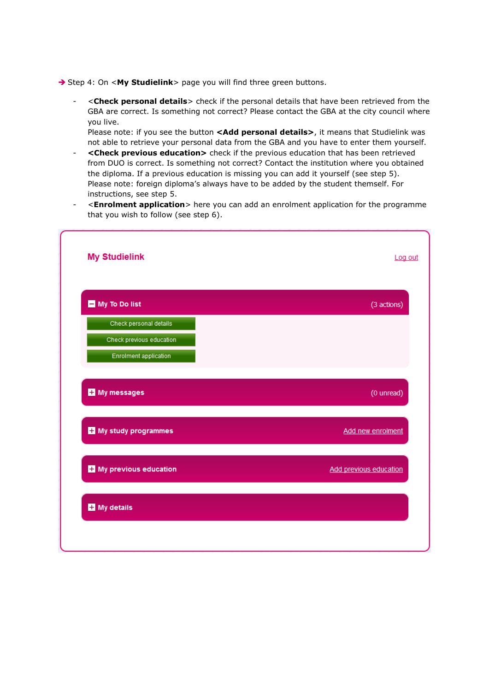→ Step 4: On <My Studielink> page you will find three green buttons.

- <**Check personal details**> check if the personal details that have been retrieved from the GBA are correct. Is something not correct? Please contact the GBA at the city council where you live.

Please note: if you see the button <Add personal details>, it means that Studielink was not able to retrieve your personal data from the GBA and you have to enter them yourself.

- **<Check previous education>** check if the previous education that has been retrieved from DUO is correct. Is something not correct? Contact the institution where you obtained the diploma. If a previous education is missing you can add it yourself (see step 5). Please note: foreign diploma's always have to be added by the student themself. For instructions, see step 5.
- <**Enrolment application**> here you can add an enrolment application for the programme that you wish to follow (see step 6).

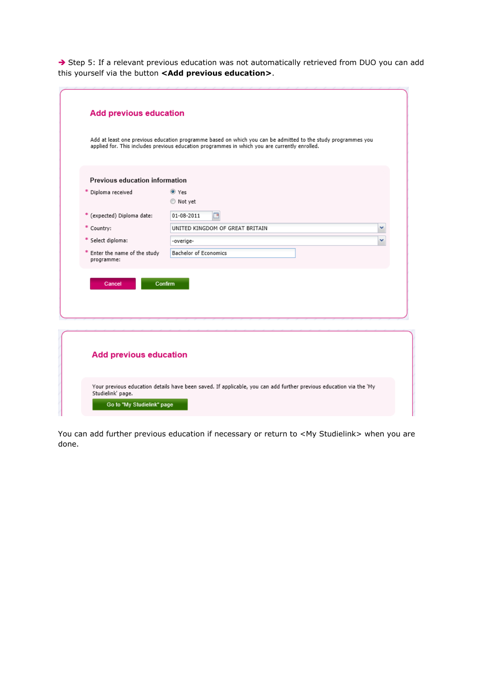Step 5: If a relevant previous education was not automatically retrieved from DUO you can add this yourself via the button **<Add previous education>**.

|                                             | Add at least one previous education programme based on which you can be admitted to the study programmes you<br>applied for. This includes previous education programmes in which you are currently enrolled. |
|---------------------------------------------|---------------------------------------------------------------------------------------------------------------------------------------------------------------------------------------------------------------|
| Previous education information              |                                                                                                                                                                                                               |
| * Diploma received                          | O Yes                                                                                                                                                                                                         |
|                                             | ◎ Not yet                                                                                                                                                                                                     |
| * (expected) Diploma date:                  | 01-08-2011                                                                                                                                                                                                    |
| * Country:                                  | UNITED KINGDOM OF GREAT BRITAIN<br>v                                                                                                                                                                          |
| * Select diploma:                           | $\checkmark$<br>-overige-                                                                                                                                                                                     |
| * Enter the name of the study<br>programme: | <b>Bachelor of Economics</b>                                                                                                                                                                                  |
| Cancel                                      | Confirm                                                                                                                                                                                                       |
|                                             |                                                                                                                                                                                                               |

You can add further previous education if necessary or return to <My Studielink> when you are done.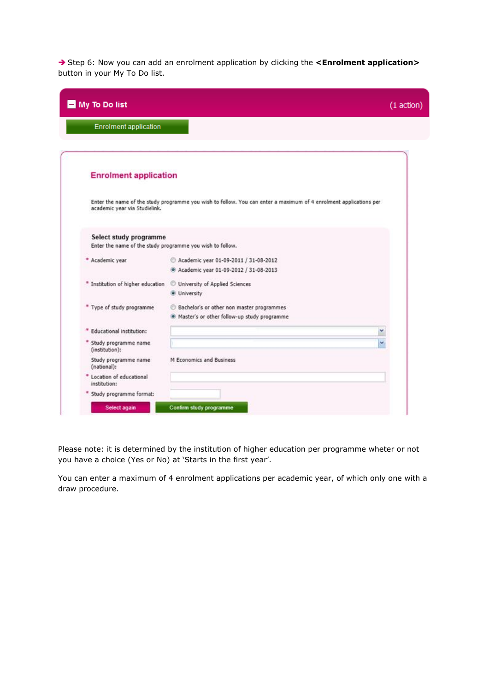Step 6: Now you can add an enrolment application by clicking the **<Enrolment application>** button in your My To Do list.

| My To Do list                                                                       |                                                                                                                   | (1 action) |
|-------------------------------------------------------------------------------------|-------------------------------------------------------------------------------------------------------------------|------------|
| <b>Enrolment application</b>                                                        |                                                                                                                   |            |
| <b>Enrolment application</b>                                                        |                                                                                                                   |            |
| academic year via Studielink.                                                       | Enter the name of the study programme you wish to follow. You can enter a maximum of 4 enrolment applications per |            |
| Select study programme<br>Enter the name of the study programme you wish to follow. |                                                                                                                   |            |
| * Academic year                                                                     | Academic year 01-09-2011 / 31-08-2012                                                                             |            |
|                                                                                     | Academic year 01-09-2012 / 31-08-2013                                                                             |            |
| * Institution of higher education                                                   | University of Applied Sciences                                                                                    |            |
|                                                                                     | · University                                                                                                      |            |
| * Type of study programme                                                           | Bachelor's or other non master programmes<br>. Master's or other follow-up study programme                        |            |
|                                                                                     | v                                                                                                                 |            |
| Educational institution:                                                            |                                                                                                                   |            |
| * Study programme name<br>(institution):                                            | v                                                                                                                 |            |
| Study programme name<br>(national):                                                 | M Economics and Business                                                                                          |            |
| Location of educational<br>institution:                                             |                                                                                                                   |            |
| Study programme format:                                                             |                                                                                                                   |            |

Please note: it is determined by the institution of higher education per programme wheter or not you have a choice (Yes or No) at 'Starts in the first year'.

You can enter a maximum of 4 enrolment applications per academic year, of which only one with a draw procedure.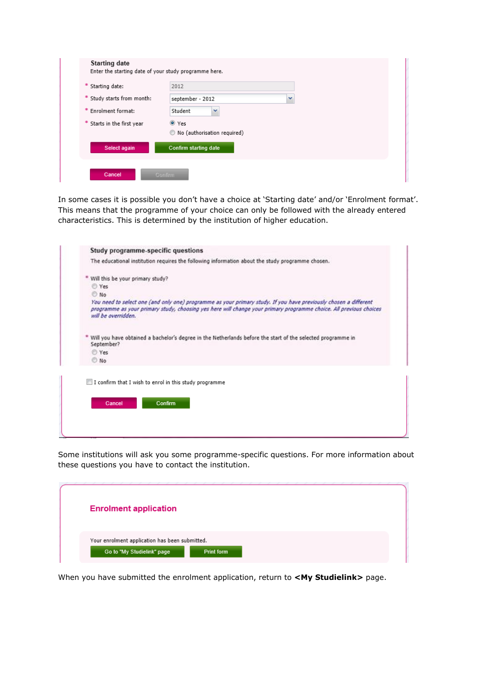| * Starting date:           | 2012                        |  |
|----------------------------|-----------------------------|--|
| * Study starts from month: | september - 2012            |  |
| * Enrolment format:        | Student                     |  |
| * Starts in the first year | O Yes                       |  |
|                            | No (authorisation required) |  |
| Select again               | Confirm starting date       |  |

In some cases it is possible you don't have a choice at 'Starting date' and/or 'Enrolment format'. This means that the programme of your choice can only be followed with the already entered characteristics. This is determined by the institution of higher education.

| The educational institution requires the following information about the study programme chosen.<br>* Will this be your primary study?<br>C Yes<br>C No<br>You need to select one (and only one) programme as your primary study. If you have previously chosen a different<br>programme as your primary study, choosing yes here will change your primary programme choice. All previous choices<br>will be overridden. |
|--------------------------------------------------------------------------------------------------------------------------------------------------------------------------------------------------------------------------------------------------------------------------------------------------------------------------------------------------------------------------------------------------------------------------|
|                                                                                                                                                                                                                                                                                                                                                                                                                          |
|                                                                                                                                                                                                                                                                                                                                                                                                                          |
|                                                                                                                                                                                                                                                                                                                                                                                                                          |
|                                                                                                                                                                                                                                                                                                                                                                                                                          |
|                                                                                                                                                                                                                                                                                                                                                                                                                          |
| Will you have obtained a bachelor's degree in the Netherlands before the start of the selected programme in<br>September?                                                                                                                                                                                                                                                                                                |
| C Yes                                                                                                                                                                                                                                                                                                                                                                                                                    |
| <b>No</b>                                                                                                                                                                                                                                                                                                                                                                                                                |

Some institutions will ask you some programme-specific questions. For more information about these questions you have to contact the institution.

| <b>Enrolment application</b>                                                                      |
|---------------------------------------------------------------------------------------------------|
| Your enrolment application has been submitted.<br>Go to "My Studielink" page<br><b>Print form</b> |

When you have submitted the enrolment application, return to **<My Studielink>** page.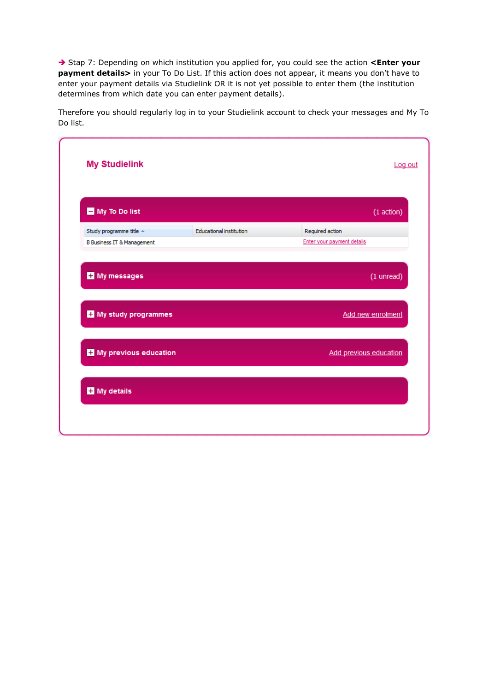→ Stap 7: Depending on which institution you applied for, you could see the action <Enter your **payment details>** in your To Do List. If this action does not appear, it means you don't have to enter your payment details via Studielink OR it is not yet possible to enter them (the institution determines from which date you can enter payment details).

Therefore you should regularly log in to your Studielink account to check your messages and My To Do list.

| My To Do list                         |                         | $(1$ action $)$            |
|---------------------------------------|-------------------------|----------------------------|
| Study programme title $\triangle$     | Educational institution | Required action            |
| <b>B Business IT &amp; Management</b> |                         | Enter your payment details |
| <b>H</b> My messages                  |                         | (1 unread)                 |
| <b>H</b> My study programmes          |                         | Add new enrolment          |
| My previous education                 |                         | Add previous education     |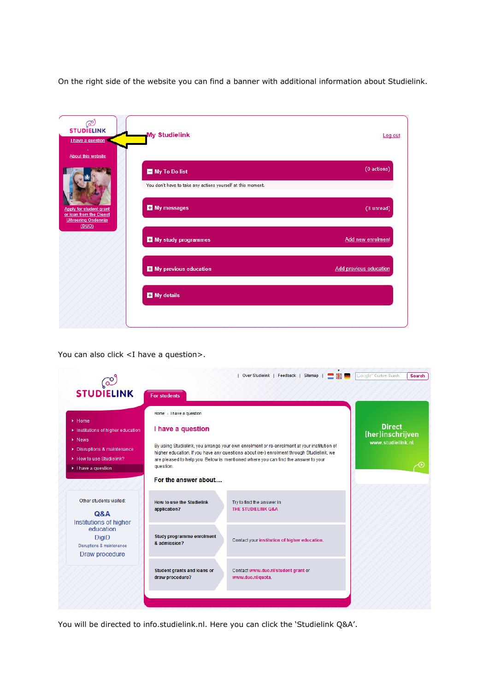On the right side of the website you can find a banner with additional information about Studielink.

| ලා<br><b>STUDIELINK</b><br>I have a question<br><b>About this website</b>                  | <b>My Studielink</b>                                                         | Log out                       |
|--------------------------------------------------------------------------------------------|------------------------------------------------------------------------------|-------------------------------|
|                                                                                            | My To Do list<br>You don't have to take any actions yourself at this moment. | (0 actions)                   |
| Apply for student grant<br>or loan from the Dienst<br><b>Uitvoering Onderwijs</b><br>(DUO) | My messages                                                                  | (3 unread)                    |
|                                                                                            | My study programmes                                                          | Add new enrolment             |
|                                                                                            | My previous education                                                        | <b>Add previous education</b> |
|                                                                                            | My details                                                                   |                               |
|                                                                                            |                                                                              |                               |

You can also click <I have a question>.

|                                                                                                                                         |                                                | Over Studielink   Feedback   Sitemap                                                                                                                                                                                                                                        | Google <sup>m</sup> Custom Search<br><b>Search</b> |
|-----------------------------------------------------------------------------------------------------------------------------------------|------------------------------------------------|-----------------------------------------------------------------------------------------------------------------------------------------------------------------------------------------------------------------------------------------------------------------------------|----------------------------------------------------|
| <b>STUDIELINK</b>                                                                                                                       | <b>For students</b>                            |                                                                                                                                                                                                                                                                             |                                                    |
| $\blacktriangleright$ Home                                                                                                              | Home > I have a question                       |                                                                                                                                                                                                                                                                             | <b>Direct</b>                                      |
| Institutions of higher education<br>$\triangleright$ News<br>▶ Disruptions & maintenance<br>How to use Studielink?<br>I have a question | I have a question<br>question.                 | By using Studielink, you arrange your own enrolment or re-enrolment at your institution of<br>higher education. If you have any questions about (re-) enrolment through Studielink, we<br>are pleased to help you. Below is mentioned where you can find the answer to your | (her)inschrijven<br>www.studielink.nl              |
|                                                                                                                                         | For the answer about                           |                                                                                                                                                                                                                                                                             |                                                    |
| Other students visited:<br><b>Q&amp;A</b>                                                                                               | How to use the Studielink<br>application?      | Try to find the answer in<br>THE STUDIELINK Q&A                                                                                                                                                                                                                             |                                                    |
| Institutions of higher<br>education<br><b>DigiD</b><br>Disruptions & maintenance<br>Draw procedure                                      | Study programme enrolment<br>& admission?      | Contact your institution of higher education.                                                                                                                                                                                                                               |                                                    |
|                                                                                                                                         | Student grants and loans or<br>draw procedure? | Contact www.duo.nl/student grant or<br>www.duo.nl/quota.                                                                                                                                                                                                                    |                                                    |
|                                                                                                                                         |                                                |                                                                                                                                                                                                                                                                             |                                                    |

You will be directed to info.studielink.nl. Here you can click the 'Studielink Q&A'.